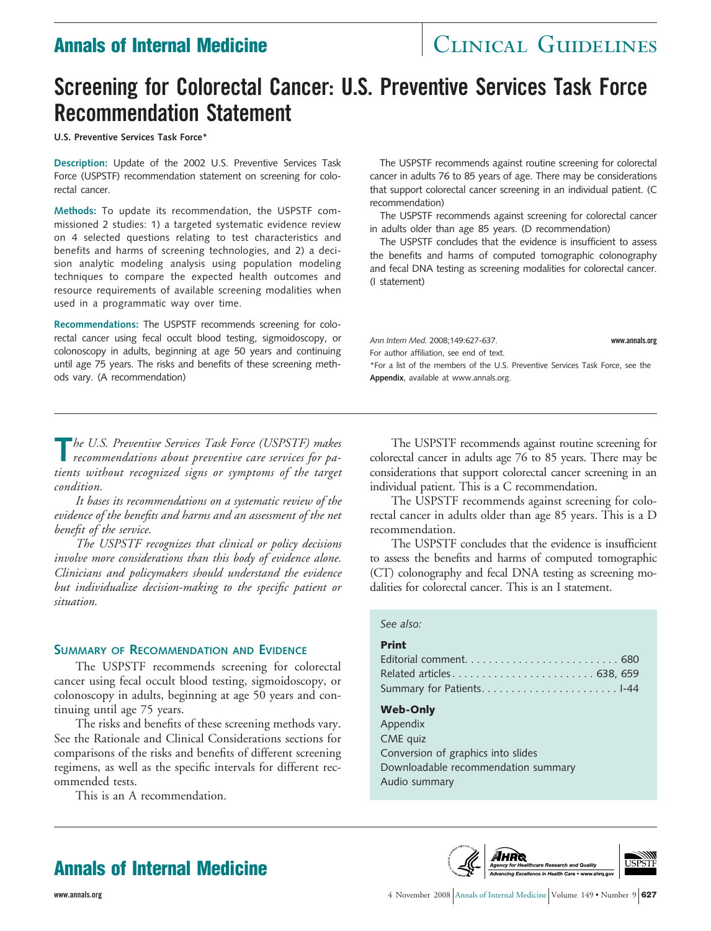# **Annals of Internal Medicine Medicine Medicine Research Annals GUIDELINES**

# **Screening for Colorectal Cancer: U.S. Preventive Services Task Force Recommendation Statement**

**U.S. Preventive Services Task Force\***

**Description:** Update of the 2002 U.S. Preventive Services Task Force (USPSTF) recommendation statement on screening for colorectal cancer.

**Methods:** To update its recommendation, the USPSTF commissioned 2 studies: 1) a targeted systematic evidence review on 4 selected questions relating to test characteristics and benefits and harms of screening technologies, and 2) a decision analytic modeling analysis using population modeling techniques to compare the expected health outcomes and resource requirements of available screening modalities when used in a programmatic way over time.

**Recommendations:** The USPSTF recommends screening for colorectal cancer using fecal occult blood testing, sigmoidoscopy, or colonoscopy in adults, beginning at age 50 years and continuing until age 75 years. The risks and benefits of these screening methods vary. (A recommendation)

The USPSTF recommends against routine screening for colorectal cancer in adults 76 to 85 years of age. There may be considerations that support colorectal cancer screening in an individual patient. (C recommendation)

The USPSTF recommends against screening for colorectal cancer in adults older than age 85 years. (D recommendation)

The USPSTF concludes that the evidence is insufficient to assess the benefits and harms of computed tomographic colonography and fecal DNA testing as screening modalities for colorectal cancer. (I statement)

*Ann Intern Med.* 2008;149:627-637. **www.annals.org** For author affiliation, see end of text. \*For a list of the members of the U.S. Preventive Services Task Force, see the **Appendix**, available at www.annals.org.

**T***he U.S. Preventive Services Task Force (USPSTF) makes recommendations about preventive care services for patients without recognized signs or symptoms of the target condition.*

*It bases its recommendations on a systematic review of the evidence of the benefits and harms and an assessment of the net benefit of the service.*

*The USPSTF recognizes that clinical or policy decisions involve more considerations than this body of evidence alone. Clinicians and policymakers should understand the evidence but individualize decision-making to the specific patient or situation.*

### **SUMMARY OF RECOMMENDATION AND EVIDENCE**

The USPSTF recommends screening for colorectal cancer using fecal occult blood testing, sigmoidoscopy, or colonoscopy in adults, beginning at age 50 years and continuing until age 75 years.

The risks and benefits of these screening methods vary. See the Rationale and Clinical Considerations sections for comparisons of the risks and benefits of different screening regimens, as well as the specific intervals for different recommended tests.

This is an A recommendation.

The USPSTF recommends against routine screening for colorectal cancer in adults age 76 to 85 years. There may be considerations that support colorectal cancer screening in an individual patient. This is a C recommendation.

The USPSTF recommends against screening for colorectal cancer in adults older than age 85 years. This is a D recommendation.

The USPSTF concludes that the evidence is insufficient to assess the benefits and harms of computed tomographic (CT) colonography and fecal DNA testing as screening modalities for colorectal cancer. This is an I statement.

### *See also:*

### **Print**

| Related articles 638, 659 |  |
|---------------------------|--|
|                           |  |

### **Web-Only**

Appendix CME quiz Conversion of graphics into slides Downloadable recommendation summary Audio summary



## **Annals of Internal Medicine**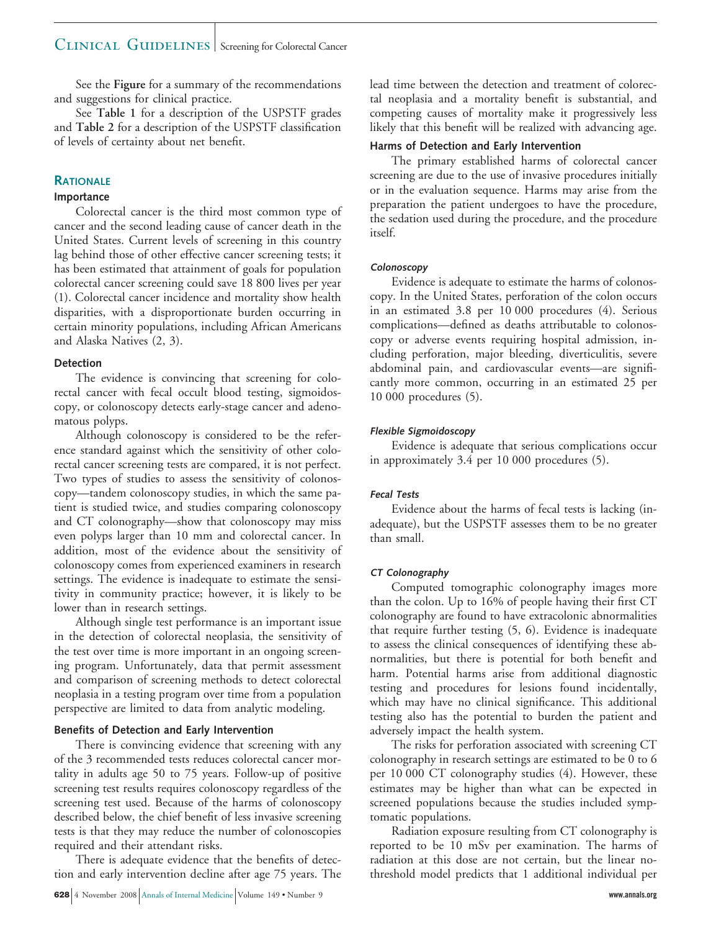### CLINICAL GUIDELINES | Screening for Colorectal Cancer

See the **Figure** for a summary of the recommendations and suggestions for clinical practice.

See **Table 1** for a description of the USPSTF grades and **Table 2** for a description of the USPSTF classification of levels of certainty about net benefit.

### **RATIONALE**

### **Importance**

Colorectal cancer is the third most common type of cancer and the second leading cause of cancer death in the United States. Current levels of screening in this country lag behind those of other effective cancer screening tests; it has been estimated that attainment of goals for population colorectal cancer screening could save 18 800 lives per year (1). Colorectal cancer incidence and mortality show health disparities, with a disproportionate burden occurring in certain minority populations, including African Americans and Alaska Natives (2, 3).

### **Detection**

The evidence is convincing that screening for colorectal cancer with fecal occult blood testing, sigmoidoscopy, or colonoscopy detects early-stage cancer and adenomatous polyps.

Although colonoscopy is considered to be the reference standard against which the sensitivity of other colorectal cancer screening tests are compared, it is not perfect. Two types of studies to assess the sensitivity of colonoscopy—tandem colonoscopy studies, in which the same patient is studied twice, and studies comparing colonoscopy and CT colonography—show that colonoscopy may miss even polyps larger than 10 mm and colorectal cancer. In addition, most of the evidence about the sensitivity of colonoscopy comes from experienced examiners in research settings. The evidence is inadequate to estimate the sensitivity in community practice; however, it is likely to be lower than in research settings.

Although single test performance is an important issue in the detection of colorectal neoplasia, the sensitivity of the test over time is more important in an ongoing screening program. Unfortunately, data that permit assessment and comparison of screening methods to detect colorectal neoplasia in a testing program over time from a population perspective are limited to data from analytic modeling.

### **Benefits of Detection and Early Intervention**

There is convincing evidence that screening with any of the 3 recommended tests reduces colorectal cancer mortality in adults age 50 to 75 years. Follow-up of positive screening test results requires colonoscopy regardless of the screening test used. Because of the harms of colonoscopy described below, the chief benefit of less invasive screening tests is that they may reduce the number of colonoscopies required and their attendant risks.

There is adequate evidence that the benefits of detection and early intervention decline after age 75 years. The lead time between the detection and treatment of colorectal neoplasia and a mortality benefit is substantial, and competing causes of mortality make it progressively less likely that this benefit will be realized with advancing age.

### **Harms of Detection and Early Intervention**

The primary established harms of colorectal cancer screening are due to the use of invasive procedures initially or in the evaluation sequence. Harms may arise from the preparation the patient undergoes to have the procedure, the sedation used during the procedure, and the procedure itself.

### **Colonoscopy**

Evidence is adequate to estimate the harms of colonoscopy. In the United States, perforation of the colon occurs in an estimated 3.8 per 10 000 procedures (4). Serious complications—defined as deaths attributable to colonoscopy or adverse events requiring hospital admission, including perforation, major bleeding, diverticulitis, severe abdominal pain, and cardiovascular events—are significantly more common, occurring in an estimated 25 per 10 000 procedures (5).

### **Flexible Sigmoidoscopy**

Evidence is adequate that serious complications occur in approximately 3.4 per 10 000 procedures (5).

### **Fecal Tests**

Evidence about the harms of fecal tests is lacking (inadequate), but the USPSTF assesses them to be no greater than small.

### **CT Colonography**

Computed tomographic colonography images more than the colon. Up to 16% of people having their first CT colonography are found to have extracolonic abnormalities that require further testing (5, 6). Evidence is inadequate to assess the clinical consequences of identifying these abnormalities, but there is potential for both benefit and harm. Potential harms arise from additional diagnostic testing and procedures for lesions found incidentally, which may have no clinical significance. This additional testing also has the potential to burden the patient and adversely impact the health system.

The risks for perforation associated with screening CT colonography in research settings are estimated to be 0 to 6 per 10 000 CT colonography studies (4). However, these estimates may be higher than what can be expected in screened populations because the studies included symptomatic populations.

Radiation exposure resulting from CT colonography is reported to be 10 mSv per examination. The harms of radiation at this dose are not certain, but the linear nothreshold model predicts that 1 additional individual per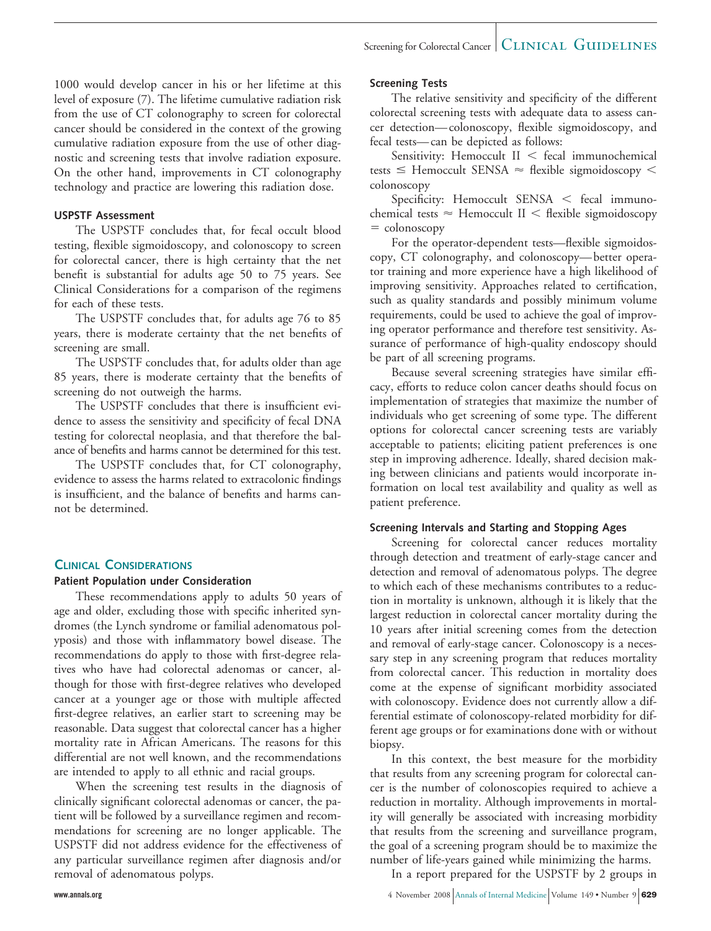1000 would develop cancer in his or her lifetime at this level of exposure (7). The lifetime cumulative radiation risk from the use of CT colonography to screen for colorectal cancer should be considered in the context of the growing cumulative radiation exposure from the use of other diagnostic and screening tests that involve radiation exposure. On the other hand, improvements in CT colonography technology and practice are lowering this radiation dose.

### **USPSTF Assessment**

The USPSTF concludes that, for fecal occult blood testing, flexible sigmoidoscopy, and colonoscopy to screen for colorectal cancer, there is high certainty that the net benefit is substantial for adults age 50 to 75 years. See Clinical Considerations for a comparison of the regimens for each of these tests.

The USPSTF concludes that, for adults age 76 to 85 years, there is moderate certainty that the net benefits of screening are small.

The USPSTF concludes that, for adults older than age 85 years, there is moderate certainty that the benefits of screening do not outweigh the harms.

The USPSTF concludes that there is insufficient evidence to assess the sensitivity and specificity of fecal DNA testing for colorectal neoplasia, and that therefore the balance of benefits and harms cannot be determined for this test.

The USPSTF concludes that, for CT colonography, evidence to assess the harms related to extracolonic findings is insufficient, and the balance of benefits and harms cannot be determined.

### **CLINICAL CONSIDERATIONS**

### **Patient Population under Consideration**

These recommendations apply to adults 50 years of age and older, excluding those with specific inherited syndromes (the Lynch syndrome or familial adenomatous polyposis) and those with inflammatory bowel disease. The recommendations do apply to those with first-degree relatives who have had colorectal adenomas or cancer, although for those with first-degree relatives who developed cancer at a younger age or those with multiple affected first-degree relatives, an earlier start to screening may be reasonable. Data suggest that colorectal cancer has a higher mortality rate in African Americans. The reasons for this differential are not well known, and the recommendations are intended to apply to all ethnic and racial groups.

When the screening test results in the diagnosis of clinically significant colorectal adenomas or cancer, the patient will be followed by a surveillance regimen and recommendations for screening are no longer applicable. The USPSTF did not address evidence for the effectiveness of any particular surveillance regimen after diagnosis and/or removal of adenomatous polyps.

### **Screening Tests**

The relative sensitivity and specificity of the different colorectal screening tests with adequate data to assess cancer detection— colonoscopy, flexible sigmoidoscopy, and fecal tests— can be depicted as follows:

Sensitivity: Hemoccult  $II <$  fecal immunochemical tests  $\leq$  Hemoccult SENSA  $\approx$  flexible sigmoidoscopy  $\leq$ colonoscopy

Specificity: Hemoccult SENSA  $\lt$  fecal immunochemical tests  $\approx$  Hemoccult II  $<$  flexible sigmoidoscopy  $=$  colonoscopy

For the operator-dependent tests—flexible sigmoidoscopy, CT colonography, and colonoscopy— better operator training and more experience have a high likelihood of improving sensitivity. Approaches related to certification, such as quality standards and possibly minimum volume requirements, could be used to achieve the goal of improving operator performance and therefore test sensitivity. Assurance of performance of high-quality endoscopy should be part of all screening programs.

Because several screening strategies have similar efficacy, efforts to reduce colon cancer deaths should focus on implementation of strategies that maximize the number of individuals who get screening of some type. The different options for colorectal cancer screening tests are variably acceptable to patients; eliciting patient preferences is one step in improving adherence. Ideally, shared decision making between clinicians and patients would incorporate information on local test availability and quality as well as patient preference.

### **Screening Intervals and Starting and Stopping Ages**

Screening for colorectal cancer reduces mortality through detection and treatment of early-stage cancer and detection and removal of adenomatous polyps. The degree to which each of these mechanisms contributes to a reduction in mortality is unknown, although it is likely that the largest reduction in colorectal cancer mortality during the 10 years after initial screening comes from the detection and removal of early-stage cancer. Colonoscopy is a necessary step in any screening program that reduces mortality from colorectal cancer. This reduction in mortality does come at the expense of significant morbidity associated with colonoscopy. Evidence does not currently allow a differential estimate of colonoscopy-related morbidity for different age groups or for examinations done with or without biopsy.

In this context, the best measure for the morbidity that results from any screening program for colorectal cancer is the number of colonoscopies required to achieve a reduction in mortality. Although improvements in mortality will generally be associated with increasing morbidity that results from the screening and surveillance program, the goal of a screening program should be to maximize the number of life-years gained while minimizing the harms.

In a report prepared for the USPSTF by 2 groups in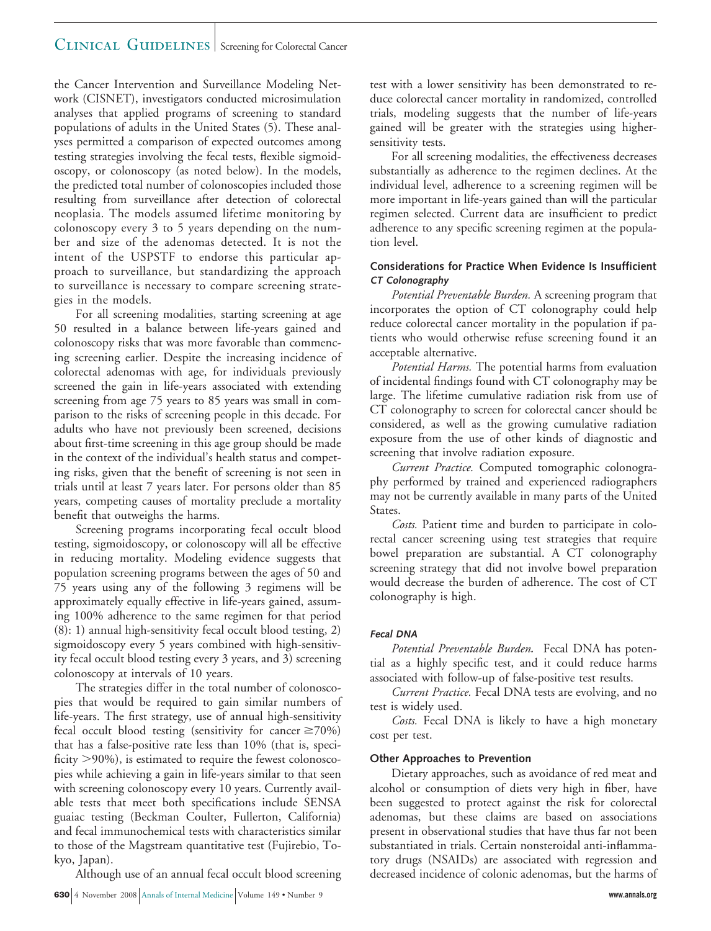### CLINICAL GUIDELINES Screening for Colorectal Cancer

the Cancer Intervention and Surveillance Modeling Network (CISNET), investigators conducted microsimulation analyses that applied programs of screening to standard populations of adults in the United States (5). These analyses permitted a comparison of expected outcomes among testing strategies involving the fecal tests, flexible sigmoidoscopy, or colonoscopy (as noted below). In the models, the predicted total number of colonoscopies included those resulting from surveillance after detection of colorectal neoplasia. The models assumed lifetime monitoring by colonoscopy every 3 to 5 years depending on the number and size of the adenomas detected. It is not the intent of the USPSTF to endorse this particular approach to surveillance, but standardizing the approach to surveillance is necessary to compare screening strategies in the models.

For all screening modalities, starting screening at age 50 resulted in a balance between life-years gained and colonoscopy risks that was more favorable than commencing screening earlier. Despite the increasing incidence of colorectal adenomas with age, for individuals previously screened the gain in life-years associated with extending screening from age 75 years to 85 years was small in comparison to the risks of screening people in this decade. For adults who have not previously been screened, decisions about first-time screening in this age group should be made in the context of the individual's health status and competing risks, given that the benefit of screening is not seen in trials until at least 7 years later. For persons older than 85 years, competing causes of mortality preclude a mortality benefit that outweighs the harms.

Screening programs incorporating fecal occult blood testing, sigmoidoscopy, or colonoscopy will all be effective in reducing mortality. Modeling evidence suggests that population screening programs between the ages of 50 and 75 years using any of the following 3 regimens will be approximately equally effective in life-years gained, assuming 100% adherence to the same regimen for that period (8): 1) annual high-sensitivity fecal occult blood testing, 2) sigmoidoscopy every 5 years combined with high-sensitivity fecal occult blood testing every 3 years, and 3) screening colonoscopy at intervals of 10 years.

The strategies differ in the total number of colonoscopies that would be required to gain similar numbers of life-years. The first strategy, use of annual high-sensitivity fecal occult blood testing (sensitivity for cancer  $\geq$ 70%) that has a false-positive rate less than 10% (that is, specificity  $>$ 90%), is estimated to require the fewest colonoscopies while achieving a gain in life-years similar to that seen with screening colonoscopy every 10 years. Currently available tests that meet both specifications include SENSA guaiac testing (Beckman Coulter, Fullerton, California) and fecal immunochemical tests with characteristics similar to those of the Magstream quantitative test (Fujirebio, Tokyo, Japan).

Although use of an annual fecal occult blood screening

test with a lower sensitivity has been demonstrated to reduce colorectal cancer mortality in randomized, controlled trials, modeling suggests that the number of life-years gained will be greater with the strategies using highersensitivity tests.

For all screening modalities, the effectiveness decreases substantially as adherence to the regimen declines. At the individual level, adherence to a screening regimen will be more important in life-years gained than will the particular regimen selected. Current data are insufficient to predict adherence to any specific screening regimen at the population level.

### **Considerations for Practice When Evidence Is Insufficient CT Colonography**

*Potential Preventable Burden.* A screening program that incorporates the option of CT colonography could help reduce colorectal cancer mortality in the population if patients who would otherwise refuse screening found it an acceptable alternative.

*Potential Harms.* The potential harms from evaluation of incidental findings found with CT colonography may be large. The lifetime cumulative radiation risk from use of CT colonography to screen for colorectal cancer should be considered, as well as the growing cumulative radiation exposure from the use of other kinds of diagnostic and screening that involve radiation exposure.

*Current Practice.* Computed tomographic colonography performed by trained and experienced radiographers may not be currently available in many parts of the United States.

*Costs.* Patient time and burden to participate in colorectal cancer screening using test strategies that require bowel preparation are substantial. A CT colonography screening strategy that did not involve bowel preparation would decrease the burden of adherence. The cost of CT colonography is high.

### **Fecal DNA**

*Potential Preventable Burden.* Fecal DNA has potential as a highly specific test, and it could reduce harms associated with follow-up of false-positive test results.

*Current Practice.* Fecal DNA tests are evolving, and no test is widely used.

*Costs.* Fecal DNA is likely to have a high monetary cost per test.

### **Other Approaches to Prevention**

Dietary approaches, such as avoidance of red meat and alcohol or consumption of diets very high in fiber, have been suggested to protect against the risk for colorectal adenomas, but these claims are based on associations present in observational studies that have thus far not been substantiated in trials. Certain nonsteroidal anti-inflammatory drugs (NSAIDs) are associated with regression and decreased incidence of colonic adenomas, but the harms of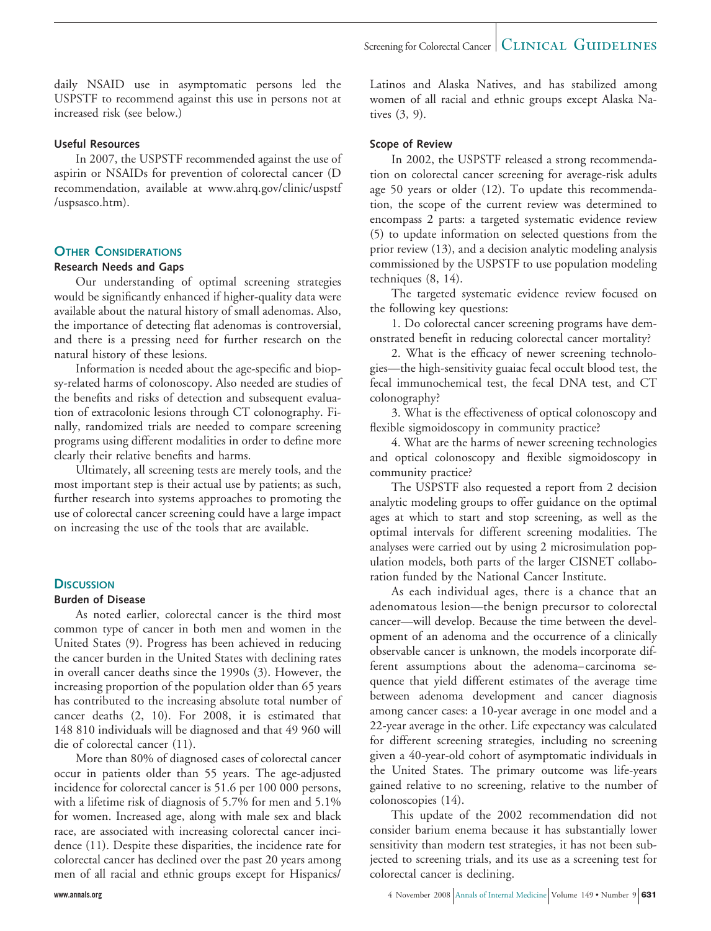daily NSAID use in asymptomatic persons led the USPSTF to recommend against this use in persons not at increased risk (see below.)

### **Useful Resources**

In 2007, the USPSTF recommended against the use of aspirin or NSAIDs for prevention of colorectal cancer (D recommendation, available at www.ahrq.gov/clinic/uspstf /uspsasco.htm).

### **OTHER CONSIDERATIONS**

### **Research Needs and Gaps**

Our understanding of optimal screening strategies would be significantly enhanced if higher-quality data were available about the natural history of small adenomas. Also, the importance of detecting flat adenomas is controversial, and there is a pressing need for further research on the natural history of these lesions.

Information is needed about the age-specific and biopsy-related harms of colonoscopy. Also needed are studies of the benefits and risks of detection and subsequent evaluation of extracolonic lesions through CT colonography. Finally, randomized trials are needed to compare screening programs using different modalities in order to define more clearly their relative benefits and harms.

Ultimately, all screening tests are merely tools, and the most important step is their actual use by patients; as such, further research into systems approaches to promoting the use of colorectal cancer screening could have a large impact on increasing the use of the tools that are available.

### **DISCUSSION**

### **Burden of Disease**

As noted earlier, colorectal cancer is the third most common type of cancer in both men and women in the United States (9). Progress has been achieved in reducing the cancer burden in the United States with declining rates in overall cancer deaths since the 1990s (3). However, the increasing proportion of the population older than 65 years has contributed to the increasing absolute total number of cancer deaths (2, 10). For 2008, it is estimated that 148 810 individuals will be diagnosed and that 49 960 will die of colorectal cancer (11).

More than 80% of diagnosed cases of colorectal cancer occur in patients older than 55 years. The age-adjusted incidence for colorectal cancer is 51.6 per 100 000 persons, with a lifetime risk of diagnosis of 5.7% for men and 5.1% for women. Increased age, along with male sex and black race, are associated with increasing colorectal cancer incidence (11). Despite these disparities, the incidence rate for colorectal cancer has declined over the past 20 years among men of all racial and ethnic groups except for Hispanics/

Latinos and Alaska Natives, and has stabilized among women of all racial and ethnic groups except Alaska Natives (3, 9).

### **Scope of Review**

In 2002, the USPSTF released a strong recommendation on colorectal cancer screening for average-risk adults age 50 years or older (12). To update this recommendation, the scope of the current review was determined to encompass 2 parts: a targeted systematic evidence review (5) to update information on selected questions from the prior review (13), and a decision analytic modeling analysis commissioned by the USPSTF to use population modeling techniques (8, 14).

The targeted systematic evidence review focused on the following key questions:

1. Do colorectal cancer screening programs have demonstrated benefit in reducing colorectal cancer mortality?

2. What is the efficacy of newer screening technologies—the high-sensitivity guaiac fecal occult blood test, the fecal immunochemical test, the fecal DNA test, and CT colonography?

3. What is the effectiveness of optical colonoscopy and flexible sigmoidoscopy in community practice?

4. What are the harms of newer screening technologies and optical colonoscopy and flexible sigmoidoscopy in community practice?

The USPSTF also requested a report from 2 decision analytic modeling groups to offer guidance on the optimal ages at which to start and stop screening, as well as the optimal intervals for different screening modalities. The analyses were carried out by using 2 microsimulation population models, both parts of the larger CISNET collaboration funded by the National Cancer Institute.

As each individual ages, there is a chance that an adenomatous lesion—the benign precursor to colorectal cancer—will develop. Because the time between the development of an adenoma and the occurrence of a clinically observable cancer is unknown, the models incorporate different assumptions about the adenoma– carcinoma sequence that yield different estimates of the average time between adenoma development and cancer diagnosis among cancer cases: a 10-year average in one model and a 22-year average in the other. Life expectancy was calculated for different screening strategies, including no screening given a 40-year-old cohort of asymptomatic individuals in the United States. The primary outcome was life-years gained relative to no screening, relative to the number of colonoscopies (14).

This update of the 2002 recommendation did not consider barium enema because it has substantially lower sensitivity than modern test strategies, it has not been subjected to screening trials, and its use as a screening test for colorectal cancer is declining.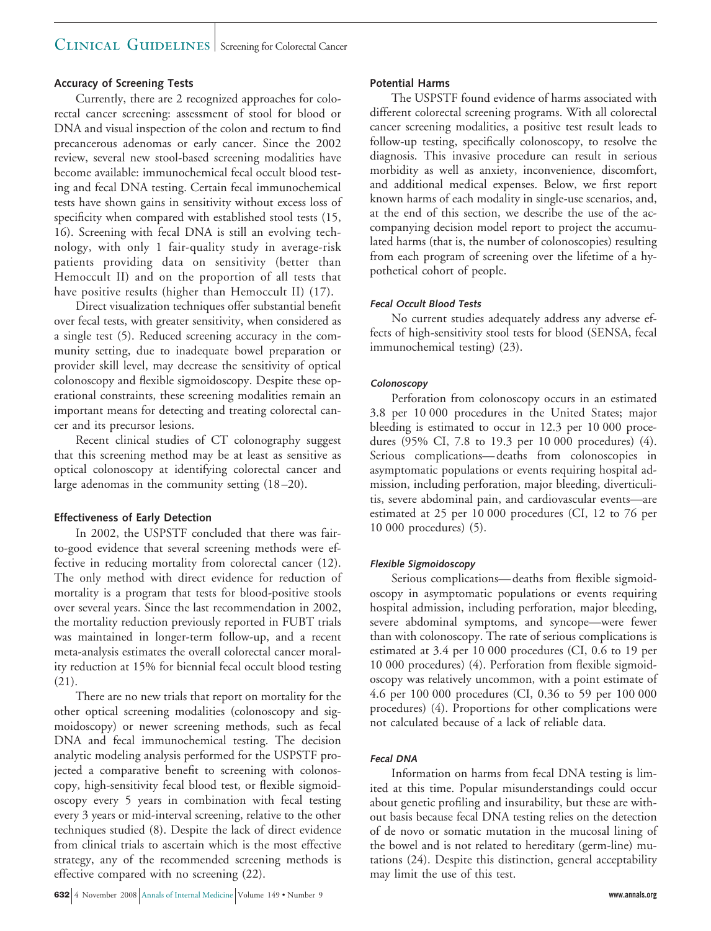### CLINICAL GUIDELINES Screening for Colorectal Cancer

### **Accuracy of Screening Tests**

Currently, there are 2 recognized approaches for colorectal cancer screening: assessment of stool for blood or DNA and visual inspection of the colon and rectum to find precancerous adenomas or early cancer. Since the 2002 review, several new stool-based screening modalities have become available: immunochemical fecal occult blood testing and fecal DNA testing. Certain fecal immunochemical tests have shown gains in sensitivity without excess loss of specificity when compared with established stool tests (15, 16). Screening with fecal DNA is still an evolving technology, with only 1 fair-quality study in average-risk patients providing data on sensitivity (better than Hemoccult II) and on the proportion of all tests that have positive results (higher than Hemoccult II) (17).

Direct visualization techniques offer substantial benefit over fecal tests, with greater sensitivity, when considered as a single test (5). Reduced screening accuracy in the community setting, due to inadequate bowel preparation or provider skill level, may decrease the sensitivity of optical colonoscopy and flexible sigmoidoscopy. Despite these operational constraints, these screening modalities remain an important means for detecting and treating colorectal cancer and its precursor lesions.

Recent clinical studies of CT colonography suggest that this screening method may be at least as sensitive as optical colonoscopy at identifying colorectal cancer and large adenomas in the community setting (18 –20).

### **Effectiveness of Early Detection**

In 2002, the USPSTF concluded that there was fairto-good evidence that several screening methods were effective in reducing mortality from colorectal cancer (12). The only method with direct evidence for reduction of mortality is a program that tests for blood-positive stools over several years. Since the last recommendation in 2002, the mortality reduction previously reported in FUBT trials was maintained in longer-term follow-up, and a recent meta-analysis estimates the overall colorectal cancer morality reduction at 15% for biennial fecal occult blood testing (21).

There are no new trials that report on mortality for the other optical screening modalities (colonoscopy and sigmoidoscopy) or newer screening methods, such as fecal DNA and fecal immunochemical testing. The decision analytic modeling analysis performed for the USPSTF projected a comparative benefit to screening with colonoscopy, high-sensitivity fecal blood test, or flexible sigmoidoscopy every 5 years in combination with fecal testing every 3 years or mid-interval screening, relative to the other techniques studied (8). Despite the lack of direct evidence from clinical trials to ascertain which is the most effective strategy, any of the recommended screening methods is effective compared with no screening (22).

### **Potential Harms**

The USPSTF found evidence of harms associated with different colorectal screening programs. With all colorectal cancer screening modalities, a positive test result leads to follow-up testing, specifically colonoscopy, to resolve the diagnosis. This invasive procedure can result in serious morbidity as well as anxiety, inconvenience, discomfort, and additional medical expenses. Below, we first report known harms of each modality in single-use scenarios, and, at the end of this section, we describe the use of the accompanying decision model report to project the accumulated harms (that is, the number of colonoscopies) resulting from each program of screening over the lifetime of a hypothetical cohort of people.

### **Fecal Occult Blood Tests**

No current studies adequately address any adverse effects of high-sensitivity stool tests for blood (SENSA, fecal immunochemical testing) (23).

### **Colonoscopy**

Perforation from colonoscopy occurs in an estimated 3.8 per 10 000 procedures in the United States; major bleeding is estimated to occur in 12.3 per 10 000 procedures (95% CI, 7.8 to 19.3 per 10 000 procedures) (4). Serious complications— deaths from colonoscopies in asymptomatic populations or events requiring hospital admission, including perforation, major bleeding, diverticulitis, severe abdominal pain, and cardiovascular events—are estimated at 25 per 10 000 procedures (CI, 12 to 76 per 10 000 procedures) (5).

### **Flexible Sigmoidoscopy**

Serious complications— deaths from flexible sigmoidoscopy in asymptomatic populations or events requiring hospital admission, including perforation, major bleeding, severe abdominal symptoms, and syncope—were fewer than with colonoscopy. The rate of serious complications is estimated at 3.4 per 10 000 procedures (CI, 0.6 to 19 per 10 000 procedures) (4). Perforation from flexible sigmoidoscopy was relatively uncommon, with a point estimate of 4.6 per 100 000 procedures (CI, 0.36 to 59 per 100 000 procedures) (4). Proportions for other complications were not calculated because of a lack of reliable data.

### **Fecal DNA**

Information on harms from fecal DNA testing is limited at this time. Popular misunderstandings could occur about genetic profiling and insurability, but these are without basis because fecal DNA testing relies on the detection of de novo or somatic mutation in the mucosal lining of the bowel and is not related to hereditary (germ-line) mutations (24). Despite this distinction, general acceptability may limit the use of this test.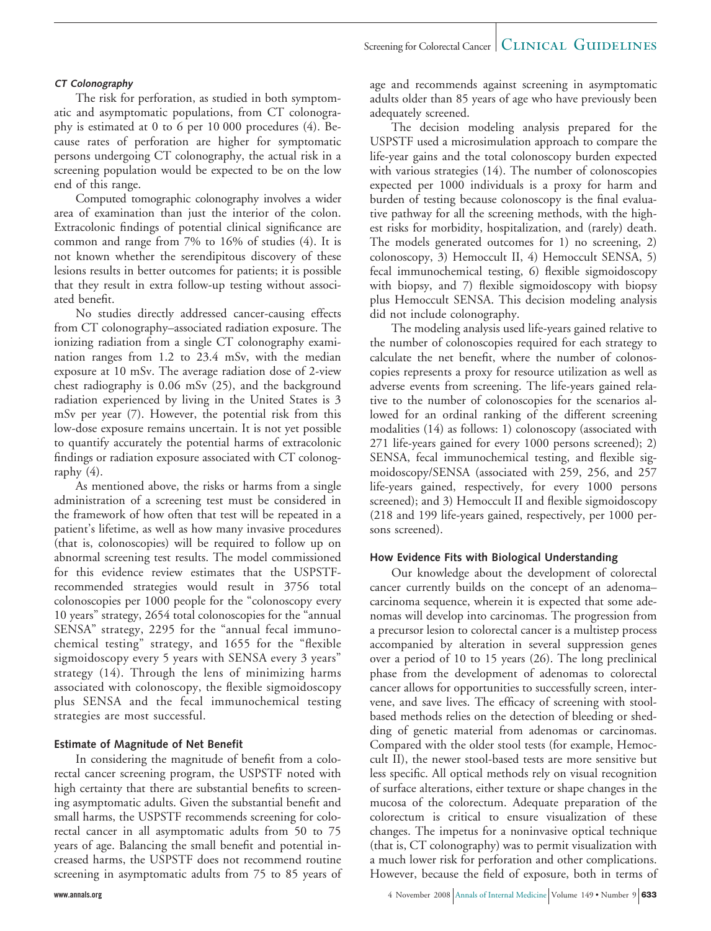### Screening for Colorectal Cancer  $\vert$  CLINICAL GUIDELINES

### **CT Colonography**

The risk for perforation, as studied in both symptomatic and asymptomatic populations, from CT colonography is estimated at 0 to 6 per 10 000 procedures (4). Because rates of perforation are higher for symptomatic persons undergoing CT colonography, the actual risk in a screening population would be expected to be on the low end of this range.

Computed tomographic colonography involves a wider area of examination than just the interior of the colon. Extracolonic findings of potential clinical significance are common and range from 7% to 16% of studies (4). It is not known whether the serendipitous discovery of these lesions results in better outcomes for patients; it is possible that they result in extra follow-up testing without associated benefit.

No studies directly addressed cancer-causing effects from CT colonography–associated radiation exposure. The ionizing radiation from a single CT colonography examination ranges from 1.2 to 23.4 mSv, with the median exposure at 10 mSv. The average radiation dose of 2-view chest radiography is 0.06 mSv (25), and the background radiation experienced by living in the United States is 3 mSv per year (7). However, the potential risk from this low-dose exposure remains uncertain. It is not yet possible to quantify accurately the potential harms of extracolonic findings or radiation exposure associated with CT colonography (4).

As mentioned above, the risks or harms from a single administration of a screening test must be considered in the framework of how often that test will be repeated in a patient's lifetime, as well as how many invasive procedures (that is, colonoscopies) will be required to follow up on abnormal screening test results. The model commissioned for this evidence review estimates that the USPSTFrecommended strategies would result in 3756 total colonoscopies per 1000 people for the "colonoscopy every 10 years" strategy, 2654 total colonoscopies for the "annual SENSA" strategy, 2295 for the "annual fecal immunochemical testing" strategy, and 1655 for the "flexible sigmoidoscopy every 5 years with SENSA every 3 years" strategy (14). Through the lens of minimizing harms associated with colonoscopy, the flexible sigmoidoscopy plus SENSA and the fecal immunochemical testing strategies are most successful.

### **Estimate of Magnitude of Net Benefit**

In considering the magnitude of benefit from a colorectal cancer screening program, the USPSTF noted with high certainty that there are substantial benefits to screening asymptomatic adults. Given the substantial benefit and small harms, the USPSTF recommends screening for colorectal cancer in all asymptomatic adults from 50 to 75 years of age. Balancing the small benefit and potential increased harms, the USPSTF does not recommend routine screening in asymptomatic adults from 75 to 85 years of age and recommends against screening in asymptomatic adults older than 85 years of age who have previously been adequately screened.

The decision modeling analysis prepared for the USPSTF used a microsimulation approach to compare the life-year gains and the total colonoscopy burden expected with various strategies (14). The number of colonoscopies expected per 1000 individuals is a proxy for harm and burden of testing because colonoscopy is the final evaluative pathway for all the screening methods, with the highest risks for morbidity, hospitalization, and (rarely) death. The models generated outcomes for 1) no screening, 2) colonoscopy, 3) Hemoccult II, 4) Hemoccult SENSA, 5) fecal immunochemical testing, 6) flexible sigmoidoscopy with biopsy, and 7) flexible sigmoidoscopy with biopsy plus Hemoccult SENSA. This decision modeling analysis did not include colonography.

The modeling analysis used life-years gained relative to the number of colonoscopies required for each strategy to calculate the net benefit, where the number of colonoscopies represents a proxy for resource utilization as well as adverse events from screening. The life-years gained relative to the number of colonoscopies for the scenarios allowed for an ordinal ranking of the different screening modalities (14) as follows: 1) colonoscopy (associated with 271 life-years gained for every 1000 persons screened); 2) SENSA, fecal immunochemical testing, and flexible sigmoidoscopy/SENSA (associated with 259, 256, and 257 life-years gained, respectively, for every 1000 persons screened); and 3) Hemoccult II and flexible sigmoidoscopy (218 and 199 life-years gained, respectively, per 1000 persons screened).

### **How Evidence Fits with Biological Understanding**

Our knowledge about the development of colorectal cancer currently builds on the concept of an adenoma– carcinoma sequence, wherein it is expected that some adenomas will develop into carcinomas. The progression from a precursor lesion to colorectal cancer is a multistep process accompanied by alteration in several suppression genes over a period of 10 to 15 years (26). The long preclinical phase from the development of adenomas to colorectal cancer allows for opportunities to successfully screen, intervene, and save lives. The efficacy of screening with stoolbased methods relies on the detection of bleeding or shedding of genetic material from adenomas or carcinomas. Compared with the older stool tests (for example, Hemoccult II), the newer stool-based tests are more sensitive but less specific. All optical methods rely on visual recognition of surface alterations, either texture or shape changes in the mucosa of the colorectum. Adequate preparation of the colorectum is critical to ensure visualization of these changes. The impetus for a noninvasive optical technique (that is, CT colonography) was to permit visualization with a much lower risk for perforation and other complications. However, because the field of exposure, both in terms of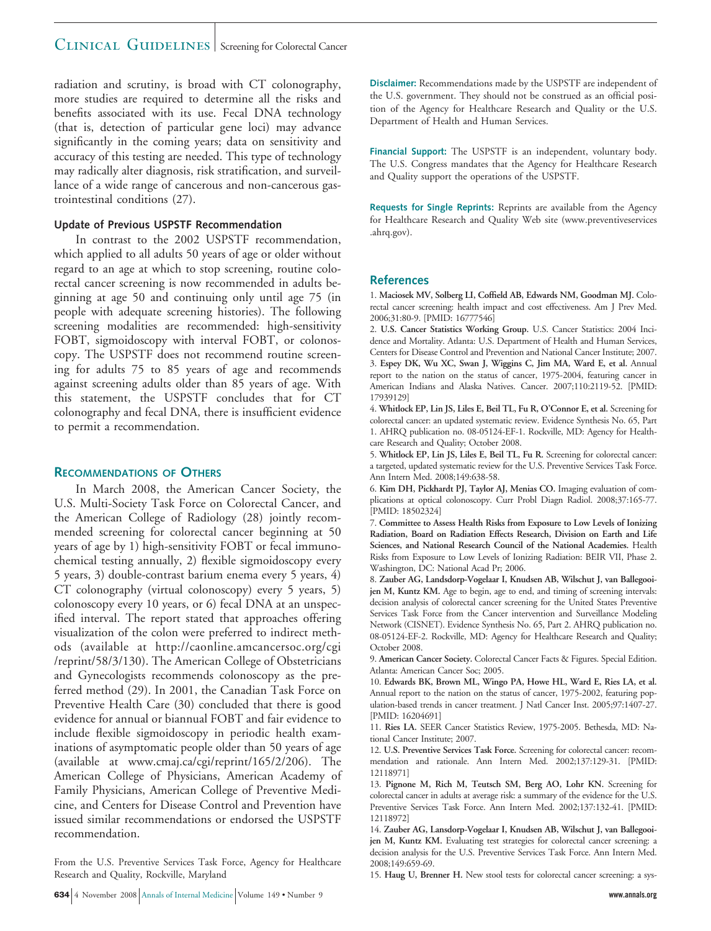### CLINICAL GUIDELINES Screening for Colorectal Cancer

radiation and scrutiny, is broad with CT colonography, more studies are required to determine all the risks and benefits associated with its use. Fecal DNA technology (that is, detection of particular gene loci) may advance significantly in the coming years; data on sensitivity and accuracy of this testing are needed. This type of technology may radically alter diagnosis, risk stratification, and surveillance of a wide range of cancerous and non-cancerous gastrointestinal conditions (27).

### **Update of Previous USPSTF Recommendation**

In contrast to the 2002 USPSTF recommendation, which applied to all adults 50 years of age or older without regard to an age at which to stop screening, routine colorectal cancer screening is now recommended in adults beginning at age 50 and continuing only until age 75 (in people with adequate screening histories). The following screening modalities are recommended: high-sensitivity FOBT, sigmoidoscopy with interval FOBT, or colonoscopy. The USPSTF does not recommend routine screening for adults 75 to 85 years of age and recommends against screening adults older than 85 years of age. With this statement, the USPSTF concludes that for CT colonography and fecal DNA, there is insufficient evidence to permit a recommendation.

### **RECOMMENDATIONS OF OTHERS**

In March 2008, the American Cancer Society, the U.S. Multi-Society Task Force on Colorectal Cancer, and the American College of Radiology (28) jointly recommended screening for colorectal cancer beginning at 50 years of age by 1) high-sensitivity FOBT or fecal immunochemical testing annually, 2) flexible sigmoidoscopy every 5 years, 3) double-contrast barium enema every 5 years, 4) CT colonography (virtual colonoscopy) every 5 years, 5) colonoscopy every 10 years, or 6) fecal DNA at an unspecified interval. The report stated that approaches offering visualization of the colon were preferred to indirect methods (available at http://caonline.amcancersoc.org/cgi /reprint/58/3/130). The American College of Obstetricians and Gynecologists recommends colonoscopy as the preferred method (29). In 2001, the Canadian Task Force on Preventive Health Care (30) concluded that there is good evidence for annual or biannual FOBT and fair evidence to include flexible sigmoidoscopy in periodic health examinations of asymptomatic people older than 50 years of age (available at www.cmaj.ca/cgi/reprint/165/2/206). The American College of Physicians, American Academy of Family Physicians, American College of Preventive Medicine, and Centers for Disease Control and Prevention have issued similar recommendations or endorsed the USPSTF recommendation.

From the U.S. Preventive Services Task Force, Agency for Healthcare Research and Quality, Rockville, Maryland

**Disclaimer:** Recommendations made by the USPSTF are independent of the U.S. government. They should not be construed as an official position of the Agency for Healthcare Research and Quality or the U.S. Department of Health and Human Services.

**Financial Support:** The USPSTF is an independent, voluntary body. The U.S. Congress mandates that the Agency for Healthcare Research and Quality support the operations of the USPSTF.

**Requests for Single Reprints:** Reprints are available from the Agency for Healthcare Research and Quality Web site (www.preventiveservices .ahrq.gov).

### **References**

1. **Maciosek MV, Solberg LI, Coffield AB, Edwards NM, Goodman MJ.** Colorectal cancer screening: health impact and cost effectiveness. Am J Prev Med. 2006;31:80-9. [PMID: 16777546]

2. **U.S. Cancer Statistics Working Group.** U.S. Cancer Statistics: 2004 Incidence and Mortality. Atlanta: U.S. Department of Health and Human Services, Centers for Disease Control and Prevention and National Cancer Institute; 2007. 3. **Espey DK, Wu XC, Swan J, Wiggins C, Jim MA, Ward E, et al.** Annual report to the nation on the status of cancer, 1975-2004, featuring cancer in American Indians and Alaska Natives. Cancer. 2007;110:2119-52. [PMID: 17939129]

4. **Whitlock EP, Lin JS, Liles E, Beil TL, Fu R, O'Connor E, et al.** Screening for colorectal cancer: an updated systematic review. Evidence Synthesis No. 65, Part 1. AHRQ publication no. 08-05124-EF-1. Rockville, MD: Agency for Healthcare Research and Quality; October 2008.

5. **Whitlock EP, Lin JS, Liles E, Beil TL, Fu R.** Screening for colorectal cancer: a targeted, updated systematic review for the U.S. Preventive Services Task Force. Ann Intern Med. 2008;149:638-58.

6. **Kim DH, Pickhardt PJ, Taylor AJ, Menias CO.** Imaging evaluation of complications at optical colonoscopy. Curr Probl Diagn Radiol. 2008;37:165-77. [PMID: 18502324]

7. **Committee to Assess Health Risks from Exposure to Low Levels of Ionizing Radiation, Board on Radiation Effects Research, Division on Earth and Life Sciences, and National Research Council of the National Academies.** Health Risks from Exposure to Low Levels of Ionizing Radiation: BEIR VII, Phase 2. Washington, DC: National Acad Pr; 2006.

8. **Zauber AG, Landsdorp-Vogelaar I, Knudsen AB, Wilschut J, van Ballegooijen M, Kuntz KM.** Age to begin, age to end, and timing of screening intervals: decision analysis of colorectal cancer screening for the United States Preventive Services Task Force from the Cancer intervention and Surveillance Modeling Network (CISNET). Evidence Synthesis No. 65, Part 2. AHRQ publication no. 08-05124-EF-2. Rockville, MD: Agency for Healthcare Research and Quality; October 2008.

9. **American Cancer Society.** Colorectal Cancer Facts & Figures. Special Edition. Atlanta: American Cancer Soc; 2005.

10. **Edwards BK, Brown ML, Wingo PA, Howe HL, Ward E, Ries LA, et al.** Annual report to the nation on the status of cancer, 1975-2002, featuring population-based trends in cancer treatment. J Natl Cancer Inst. 2005;97:1407-27. [PMID: 16204691]

11. **Ries LA.** SEER Cancer Statistics Review, 1975-2005. Bethesda, MD: National Cancer Institute; 2007.

12. **U.S. Preventive Services Task Force.** Screening for colorectal cancer: recommendation and rationale. Ann Intern Med. 2002;137:129-31. [PMID: 12118971]

13. **Pignone M, Rich M, Teutsch SM, Berg AO, Lohr KN.** Screening for colorectal cancer in adults at average risk: a summary of the evidence for the U.S. Preventive Services Task Force. Ann Intern Med. 2002;137:132-41. [PMID: 12118972]

14. **Zauber AG, Lansdorp-Vogelaar I, Knudsen AB, Wilschut J, van Ballegooijen M, Kuntz KM.** Evaluating test strategies for colorectal cancer screening: a decision analysis for the U.S. Preventive Services Task Force. Ann Intern Med. 2008;149:659-69.

15. **Haug U, Brenner H.** New stool tests for colorectal cancer screening: a sys-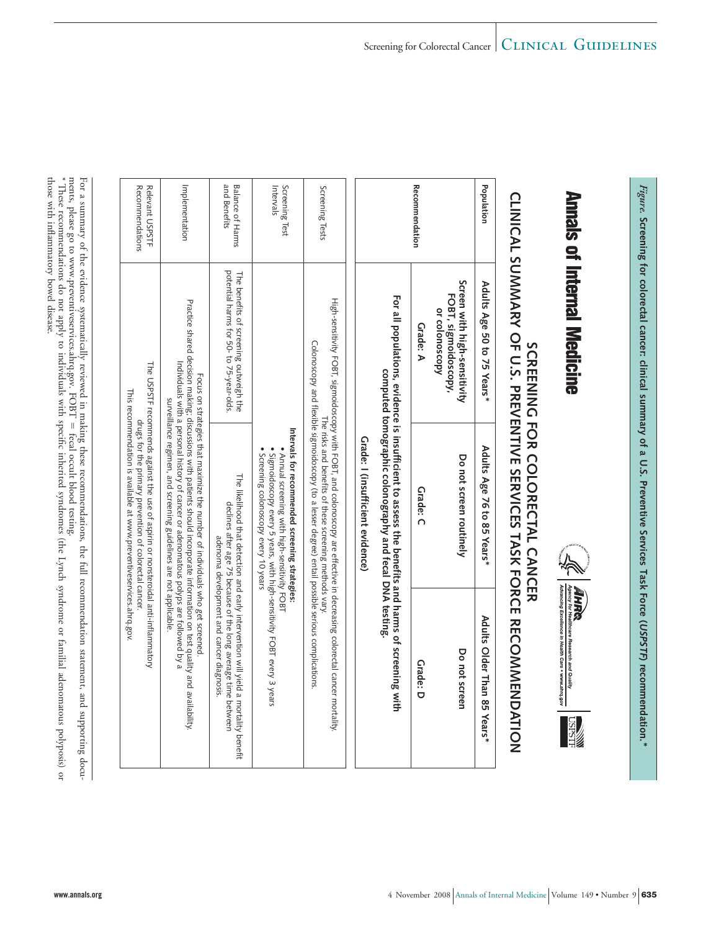ments, please go to www.preventiveservices.ahrq.gov. FOBT For a summary of the evidence systematically reviewedi. making these recommendations, the full recommendation statement, and supporting docu- Ī fecal occult blood testing. \* These recommendationse<br>8 not apply to individuals with specific inherited syndromes (the Lynch syndrome or familial adenomatouspolyposis) or

those with inflammatorybowel disease.

| Ellist a contrator of the period are a corresponding from the second in the first three teams to detail in the |  |
|----------------------------------------------------------------------------------------------------------------|--|
|                                                                                                                |  |
|                                                                                                                |  |
|                                                                                                                |  |
|                                                                                                                |  |
|                                                                                                                |  |
|                                                                                                                |  |
|                                                                                                                |  |

Recommendations Relevant USPSTF

Relevant USPSTF Recommendations

Implementation

Implementation

The USPSTF recommends against the use of aspirin or nonsteroidal anti-inflammatory drugs for the primary prevention of colorectal cancer. This recommendation is available at www.preventiveservices.ahrq.gov.

The USPSTF recommends against the use of aspirin or nonsteroidal anti-inflammatory<br>drugs for the primary prevention of colorectal cancer.

This recommendation is available at www.preventiveservices.ahrq.gov

Focus on strategies that maximize the number of individuals who get screened. Practice shared decision making; discussions with patients should incorporate information on test quality and availability. Individuals with a personal history of cancer or adenomatous polyps are followed by a surveillance regimen, and screening guidelines are not applicable.

Focus on strategies that maximize the number of individuals who get screened

Practice shared decision making; discussions with patients should incorporate information on test quality and availability.<br>Practice shared decision making; discussions with patients should incorporate information on test

surveillance regimen, and screening guidelines are not applicable.

Annals of Internal Medicine

*Figure.*

**Screening**

 **for** 

**colorectal**

**cancer:**

 **clinical** 

**summary**

 **of a U.S.** 

**Preventive**

 **Services**

 **Task Force (USPSTF)** 

**recommendation.\***



# SCREENING FOR COLORECTAL CANCER **SCREENING FOR COLORECTAL CANCER**

# **CLINICAL SUMMARY OF U.S. PREVENTIVE SERVICES TASK FORCE RECOMMENDATION**

|                                         |                                                                                  |                                                                                                                                                                                                                                                                                                                                                                                              | CLINICAL VOIVINA AT OF C.V. FREVENTIVE VERVICEV IAVA FORCE RECONNIENCALION                                                                                                                         |
|-----------------------------------------|----------------------------------------------------------------------------------|----------------------------------------------------------------------------------------------------------------------------------------------------------------------------------------------------------------------------------------------------------------------------------------------------------------------------------------------------------------------------------------------|----------------------------------------------------------------------------------------------------------------------------------------------------------------------------------------------------|
| Population                              | Adults Age 50 to 75 Years*                                                       | Adults Age 76 to 85 Years*                                                                                                                                                                                                                                                                                                                                                                   | Adults Older Than 85 Years*                                                                                                                                                                        |
|                                         | Screen with high-sensitivity<br>FOBT, sigmoidoscopy,<br>or colonoscopy           | Do not screen routinely                                                                                                                                                                                                                                                                                                                                                                      | Do not screen                                                                                                                                                                                      |
| <b>Recommendation</b>                   | Grade: A                                                                         | Grade: C                                                                                                                                                                                                                                                                                                                                                                                     | Grade: D                                                                                                                                                                                           |
|                                         |                                                                                  | Por all populations, exidence is insufficient to assess the penerits and harms of screening with<br>computed tomographic colonography and fecal DNA testing.                                                                                                                                                                                                                                 |                                                                                                                                                                                                    |
|                                         |                                                                                  | Grade: I (insufficient evidence)                                                                                                                                                                                                                                                                                                                                                             |                                                                                                                                                                                                    |
| Screening Tests                         |                                                                                  | High-senistivity FOBI, sigmoidoscopy and the externation of the externation of the state of the state of the state of the state of the state of the state of the state of the state of the state of the state of the state of<br>Colonoscopy and flexible sigmoidoscopy (to a lesser degree) entail possible serious complications<br>The risks and benefits of these screening methods vary |                                                                                                                                                                                                    |
| Intervals<br>Screening Test             |                                                                                  | Intervals for recommended screening strategies:<br>• Sigmoidoscopy every 5 years, with high-sensitivity FOBT every 3 years<br>Annual screening with high-sensitivity FOBT<br>Screening colonoscopy every 10 years                                                                                                                                                                            |                                                                                                                                                                                                    |
| <b>Balance of Harms</b><br>and Benefits | potential harms tor 20-to 75-year-olds.<br>The penerits of screening orthogen.he |                                                                                                                                                                                                                                                                                                                                                                                              | The likelihood that detection and early intervention xill yield a mortality benefit<br>declines after age 75 because of the long average time between<br>adenoma development and cancer diagnosis. |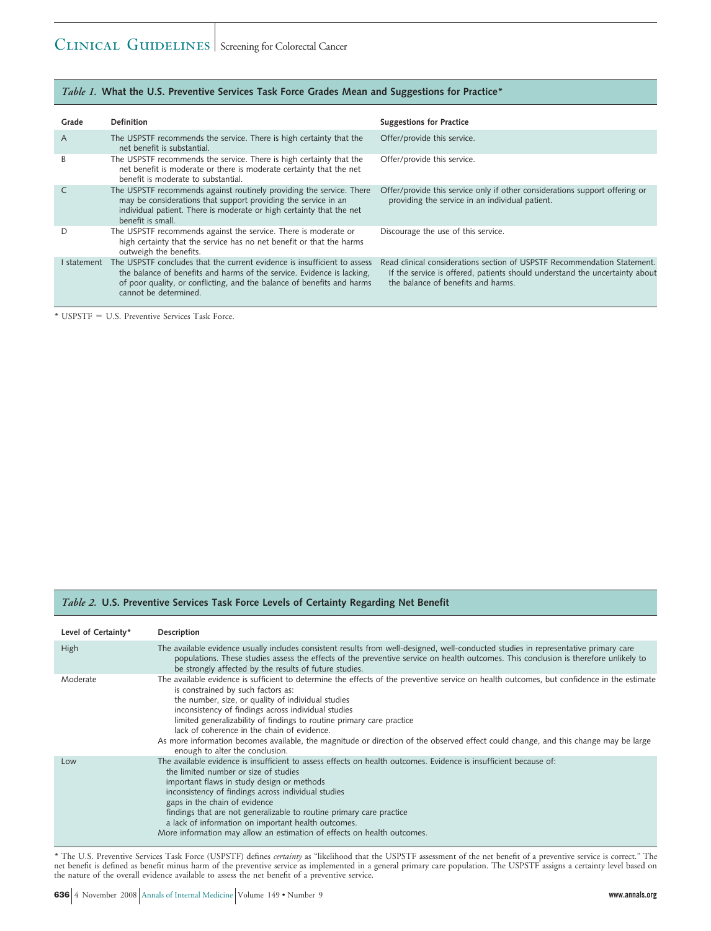### *Table 1.* **What the U.S. Preventive Services Task Force Grades Mean and Suggestions for Practice\***

| Grade       | Definition                                                                                                                                                                                                                                            | <b>Suggestions for Practice</b>                                                                                                                                                               |
|-------------|-------------------------------------------------------------------------------------------------------------------------------------------------------------------------------------------------------------------------------------------------------|-----------------------------------------------------------------------------------------------------------------------------------------------------------------------------------------------|
| A           | The USPSTF recommends the service. There is high certainty that the<br>net benefit is substantial.                                                                                                                                                    | Offer/provide this service.                                                                                                                                                                   |
| B           | The USPSTF recommends the service. There is high certainty that the<br>net benefit is moderate or there is moderate certainty that the net<br>benefit is moderate to substantial.                                                                     | Offer/provide this service.                                                                                                                                                                   |
|             | The USPSTF recommends against routinely providing the service. There<br>may be considerations that support providing the service in an<br>individual patient. There is moderate or high certainty that the net<br>benefit is small.                   | Offer/provide this service only if other considerations support offering or<br>providing the service in an individual patient.                                                                |
|             | The USPSTF recommends against the service. There is moderate or<br>high certainty that the service has no net benefit or that the harms<br>outweigh the benefits.                                                                                     | Discourage the use of this service.                                                                                                                                                           |
| I statement | The USPSTF concludes that the current evidence is insufficient to assess<br>the balance of benefits and harms of the service. Evidence is lacking,<br>of poor quality, or conflicting, and the balance of benefits and harms<br>cannot be determined. | Read clinical considerations section of USPSTF Recommendation Statement.<br>If the service is offered, patients should understand the uncertainty about<br>the balance of benefits and harms. |

\* USPSTF U.S. Preventive Services Task Force.

### *Table 2.* **U.S. Preventive Services Task Force Levels of Certainty Regarding Net Benefit**

| Level of Certainty* | Description                                                                                                                                                                                                                                                                                                                                                                                                                                                                                                                                                                                     |
|---------------------|-------------------------------------------------------------------------------------------------------------------------------------------------------------------------------------------------------------------------------------------------------------------------------------------------------------------------------------------------------------------------------------------------------------------------------------------------------------------------------------------------------------------------------------------------------------------------------------------------|
| High                | The available evidence usually includes consistent results from well-designed, well-conducted studies in representative primary care<br>populations. These studies assess the effects of the preventive service on health outcomes. This conclusion is therefore unlikely to<br>be strongly affected by the results of future studies.                                                                                                                                                                                                                                                          |
| Moderate            | The available evidence is sufficient to determine the effects of the preventive service on health outcomes, but confidence in the estimate<br>is constrained by such factors as:<br>the number, size, or quality of individual studies<br>inconsistency of findings across individual studies<br>limited generalizability of findings to routine primary care practice<br>lack of coherence in the chain of evidence.<br>As more information becomes available, the magnitude or direction of the observed effect could change, and this change may be large<br>enough to alter the conclusion. |
| Low                 | The available evidence is insufficient to assess effects on health outcomes. Evidence is insufficient because of:<br>the limited number or size of studies<br>important flaws in study design or methods<br>inconsistency of findings across individual studies<br>gaps in the chain of evidence<br>findings that are not generalizable to routine primary care practice<br>a lack of information on important health outcomes.<br>More information may allow an estimation of effects on health outcomes.                                                                                      |

\* The U.S. Preventive Services Task Force (USPSTF) defines *certainty* as "likelihood that the USPSTF assessment of the net benefit of a preventive service is correct." The net benefit is defined as benefit minus harm of the preventive service as implemented in a general primary care population. The USPSTF assigns a certainty level based on the nature of the overall evidence available to assess the net benefit of a preventive service.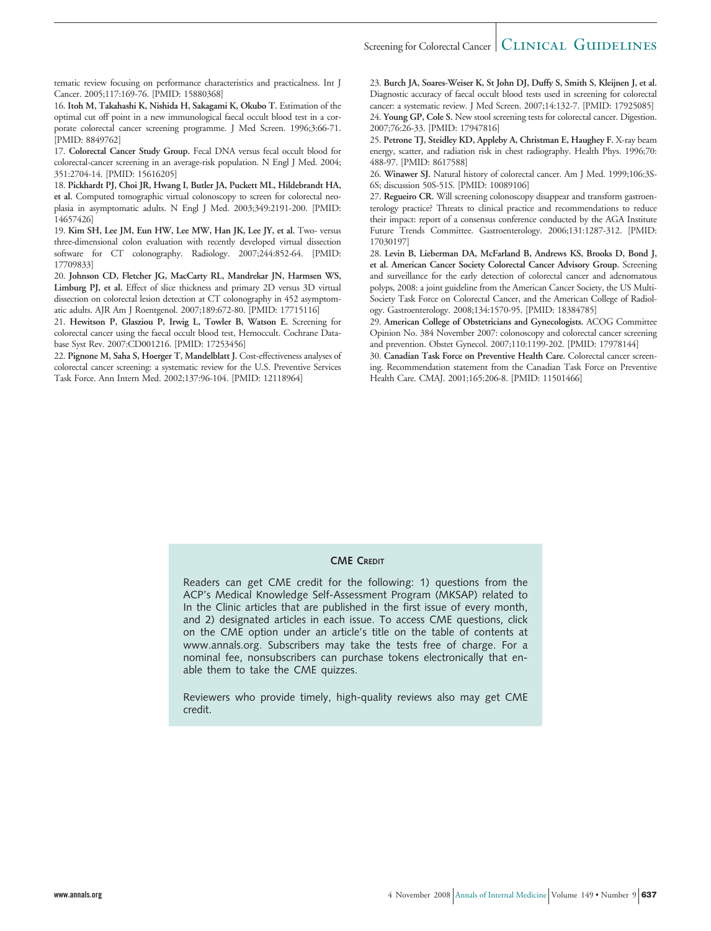### Screening for Colorectal Cancer  $\vert$  CLINICAL GUIDELINES

tematic review focusing on performance characteristics and practicalness. Int J Cancer. 2005;117:169-76. [PMID: 15880368]

16. **Itoh M, Takahashi K, Nishida H, Sakagami K, Okubo T.** Estimation of the optimal cut off point in a new immunological faecal occult blood test in a corporate colorectal cancer screening programme. J Med Screen. 1996;3:66-71. [PMID: 8849762]

17. **Colorectal Cancer Study Group.** Fecal DNA versus fecal occult blood for colorectal-cancer screening in an average-risk population. N Engl J Med. 2004; 351:2704-14. [PMID: 15616205]

18. **Pickhardt PJ, Choi JR, Hwang I, Butler JA, Puckett ML, Hildebrandt HA, et al.** Computed tomographic virtual colonoscopy to screen for colorectal neoplasia in asymptomatic adults. N Engl J Med. 2003;349:2191-200. [PMID: 14657426]

19. **Kim SH, Lee JM, Eun HW, Lee MW, Han JK, Lee JY, et al.** Two- versus three-dimensional colon evaluation with recently developed virtual dissection software for CT colonography. Radiology. 2007;244:852-64. [PMID: 17709833]

20. **Johnson CD, Fletcher JG, MacCarty RL, Mandrekar JN, Harmsen WS, Limburg PJ, et al.** Effect of slice thickness and primary 2D versus 3D virtual dissection on colorectal lesion detection at CT colonography in 452 asymptomatic adults. AJR Am J Roentgenol. 2007;189:672-80. [PMID: 17715116]

21. **Hewitson P, Glasziou P, Irwig L, Towler B, Watson E.** Screening for colorectal cancer using the faecal occult blood test, Hemoccult. Cochrane Database Syst Rev. 2007:CD001216. [PMID: 17253456]

22. **Pignone M, Saha S, Hoerger T, Mandelblatt J.** Cost-effectiveness analyses of colorectal cancer screening: a systematic review for the U.S. Preventive Services Task Force. Ann Intern Med. 2002;137:96-104. [PMID: 12118964]

23. **Burch JA, Soares-Weiser K, St John DJ, Duffy S, Smith S, Kleijnen J, et al.** Diagnostic accuracy of faecal occult blood tests used in screening for colorectal cancer: a systematic review. J Med Screen. 2007;14:132-7. [PMID: 17925085] 24. **Young GP, Cole S.** New stool screening tests for colorectal cancer. Digestion. 2007;76:26-33. [PMID: 17947816]

25. **Petrone TJ, Steidley KD, Appleby A, Christman E, Haughey F.** X-ray beam energy, scatter, and radiation risk in chest radiography. Health Phys. 1996;70: 488-97. [PMID: 8617588]

26. **Winawer SJ.** Natural history of colorectal cancer. Am J Med. 1999;106:3S-6S; discussion 50S-51S. [PMID: 10089106]

27. **Regueiro CR.** Will screening colonoscopy disappear and transform gastroenterology practice? Threats to clinical practice and recommendations to reduce their impact: report of a consensus conference conducted by the AGA Institute Future Trends Committee. Gastroenterology. 2006;131:1287-312. [PMID: 17030197]

28. **Levin B, Lieberman DA, McFarland B, Andrews KS, Brooks D, Bond J, et al. American Cancer Society Colorectal Cancer Advisory Group.** Screening and surveillance for the early detection of colorectal cancer and adenomatous polyps, 2008: a joint guideline from the American Cancer Society, the US Multi-Society Task Force on Colorectal Cancer, and the American College of Radiology. Gastroenterology. 2008;134:1570-95. [PMID: 18384785]

29. **American College of Obstetricians and Gynecologists.** ACOG Committee Opinion No. 384 November 2007: colonoscopy and colorectal cancer screening and prevention. Obstet Gynecol. 2007;110:1199-202. [PMID: 17978144]

30. **Canadian Task Force on Preventive Health Care.** Colorectal cancer screening. Recommendation statement from the Canadian Task Force on Preventive Health Care. CMAJ. 2001;165:206-8. [PMID: 11501466]

### **CME CREDIT**

Readers can get CME credit for the following: 1) questions from the ACP's Medical Knowledge Self-Assessment Program (MKSAP) related to In the Clinic articles that are published in the first issue of every month, and 2) designated articles in each issue. To access CME questions, click on the CME option under an article's title on the table of contents at www.annals.org. Subscribers may take the tests free of charge. For a nominal fee, nonsubscribers can purchase tokens electronically that enable them to take the CME quizzes.

Reviewers who provide timely, high-quality reviews also may get CME credit.